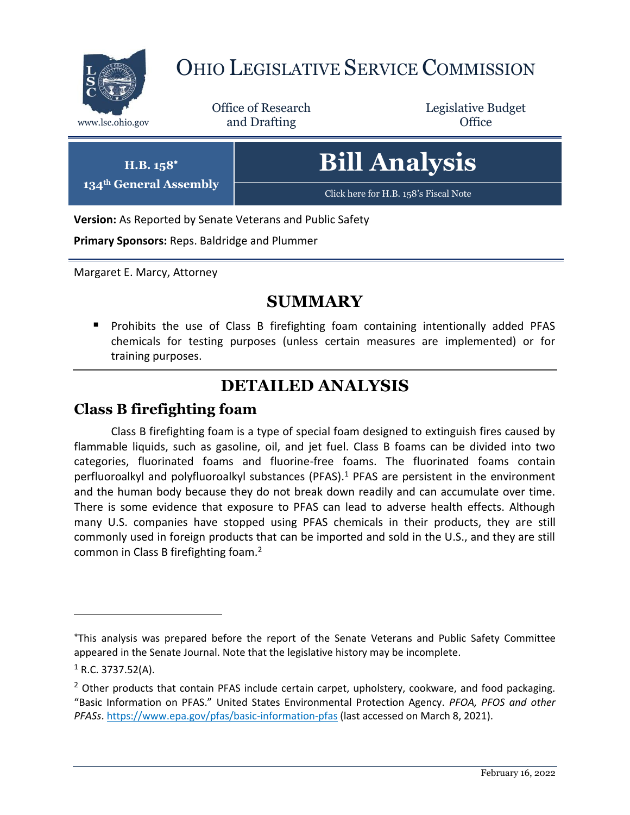

# OHIO LEGISLATIVE SERVICE COMMISSION

Office of Research www.lsc.ohio.gov **and Drafting Office** 

Legislative Budget

| <b>Bill Analysis</b> |  |
|----------------------|--|
|                      |  |

[Click here for H.B. 158](https://www.legislature.ohio.gov/legislation/legislation-documents?id=GA133-HB-328)'s Fiscal Note

**Version:** As Reported by Senate Veterans and Public Safety

**Primary Sponsors:** Reps. Baldridge and Plummer

Margaret E. Marcy, Attorney

**H.B. 158 134th General Assembly**

## **SUMMARY**

**Prohibits the use of Class B firefighting foam containing intentionally added PFAS** chemicals for testing purposes (unless certain measures are implemented) or for training purposes.

## **DETAILED ANALYSIS**

### **Class B firefighting foam**

Class B firefighting foam is a type of special foam designed to extinguish fires caused by flammable liquids, such as gasoline, oil, and jet fuel. Class B foams can be divided into two categories, fluorinated foams and fluorine-free foams. The fluorinated foams contain perfluoroalkyl and polyfluoroalkyl substances (PFAS).<sup>1</sup> PFAS are persistent in the environment and the human body because they do not break down readily and can accumulate over time. There is some evidence that exposure to PFAS can lead to adverse health effects. Although many U.S. companies have stopped using PFAS chemicals in their products, they are still commonly used in foreign products that can be imported and sold in the U.S., and they are still common in Class B firefighting foam.<sup>2</sup>

 $\overline{a}$ 

This analysis was prepared before the report of the Senate Veterans and Public Safety Committee appeared in the Senate Journal. Note that the legislative history may be incomplete.

 $1$  R.C. 3737.52(A).

 $<sup>2</sup>$  Other products that contain PFAS include certain carpet, upholstery, cookware, and food packaging.</sup> "Basic Information on PFAS." United States Environmental Protection Agency. *PFOA, PFOS and other PFASs*[. https://www.epa.gov/pfas/basic-information-pfas](https://www.epa.gov/pfas/basic-information-pfas) (last accessed on March 8, 2021).